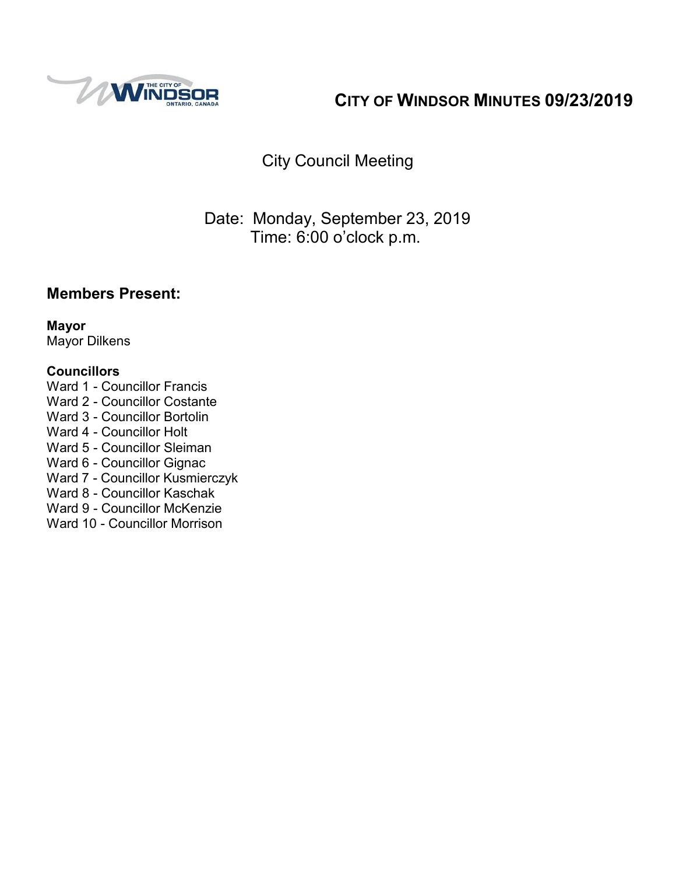

# **CITY OF WINDSOR MINUTES 09/23/2019**

# City Council Meeting

# Date: Monday, September 23, 2019 Time: 6:00 o'clock p.m.

# **Members Present:**

**Mayor**

Mayor Dilkens

## **Councillors**

Ward 1 - Councillor Francis

- Ward 2 Councillor Costante
- Ward 3 Councillor Bortolin
- Ward 4 Councillor Holt
- Ward 5 Councillor Sleiman
- Ward 6 Councillor Gignac
- Ward 7 Councillor Kusmierczyk
- Ward 8 Councillor Kaschak
- Ward 9 Councillor McKenzie
- Ward 10 Councillor Morrison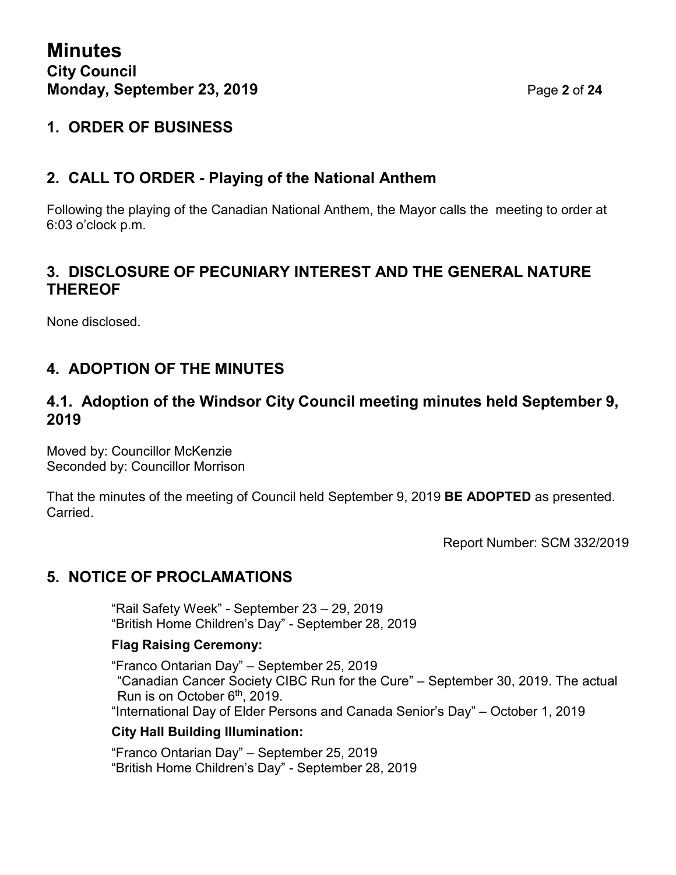## **1. ORDER OF BUSINESS**

## **2. CALL TO ORDER - Playing of the National Anthem**

Following the playing of the Canadian National Anthem, the Mayor calls the meeting to order at 6:03 o'clock p.m.

## **3. DISCLOSURE OF PECUNIARY INTEREST AND THE GENERAL NATURE THEREOF**

None disclosed.

# **4. ADOPTION OF THE MINUTES**

## **4.1. Adoption of the Windsor City Council meeting minutes held September 9, 2019**

Moved by: Councillor McKenzie Seconded by: Councillor Morrison

That the minutes of the meeting of Council held September 9, 2019 **BE ADOPTED** as presented. Carried.

Report Number: SCM 332/2019

## **5. NOTICE OF PROCLAMATIONS**

"Rail Safety Week" - September 23 – 29, 2019 "British Home Children's Day" - September 28, 2019

## **Flag Raising Ceremony:**

"Franco Ontarian Day" – September 25, 2019 "Canadian Cancer Society CIBC Run for the Cure" – September 30, 2019. The actual Run is on October 6<sup>th</sup>, 2019. "International Day of Elder Persons and Canada Senior's Day" – October 1, 2019

## **City Hall Building Illumination:**

"Franco Ontarian Day" – September 25, 2019 "British Home Children's Day" - September 28, 2019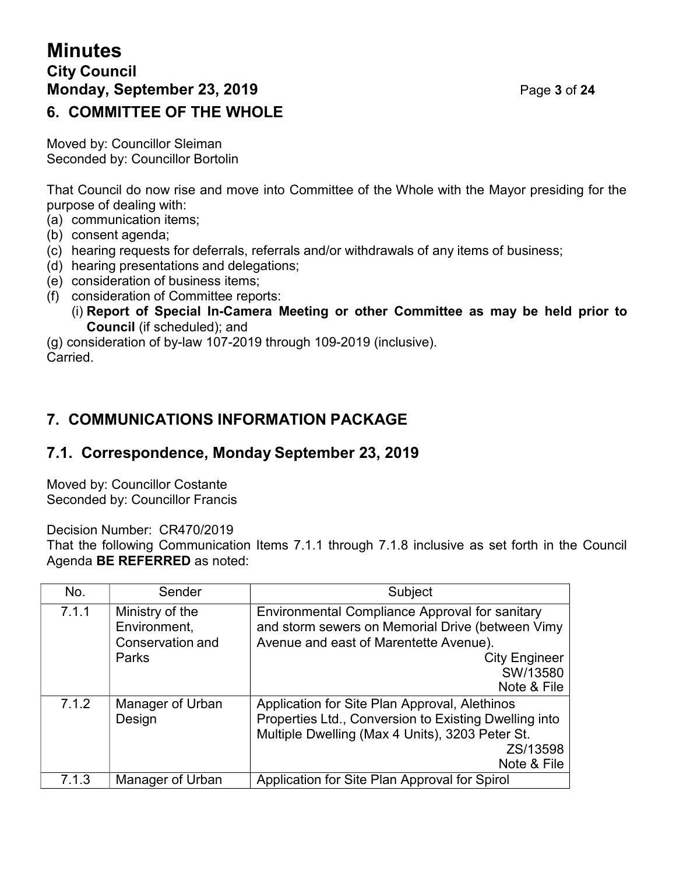# **Minutes City Council Monday, September 23, 2019** Page **3** of **24 6. COMMITTEE OF THE WHOLE**

Moved by: Councillor Sleiman Seconded by: Councillor Bortolin

That Council do now rise and move into Committee of the Whole with the Mayor presiding for the purpose of dealing with:

- (a) communication items;
- (b) consent agenda;
- (c) hearing requests for deferrals, referrals and/or withdrawals of any items of business;
- (d) hearing presentations and delegations;
- (e) consideration of business items;
- (f) consideration of Committee reports:
	- (i) **Report of Special In-Camera Meeting or other Committee as may be held prior to Council** (if scheduled); and

(g) consideration of by-law 107-2019 through 109-2019 (inclusive). Carried.

## **7. COMMUNICATIONS INFORMATION PACKAGE**

## **7.1. Correspondence, Monday September 23, 2019**

Moved by: Councillor Costante Seconded by: Councillor Francis

Decision Number: CR470/2019

That the following Communication Items 7.1.1 through 7.1.8 inclusive as set forth in the Council Agenda **BE REFERRED** as noted:

| No.   | Sender                                                       | Subject                                                                                                                                                                                         |  |
|-------|--------------------------------------------------------------|-------------------------------------------------------------------------------------------------------------------------------------------------------------------------------------------------|--|
| 7.1.1 | Ministry of the<br>Environment,<br>Conservation and<br>Parks | Environmental Compliance Approval for sanitary<br>and storm sewers on Memorial Drive (between Vimy<br>Avenue and east of Marentette Avenue).<br><b>City Engineer</b><br>SW/13580<br>Note & File |  |
| 7.1.2 | Manager of Urban<br>Design                                   | Application for Site Plan Approval, Alethinos<br>Properties Ltd., Conversion to Existing Dwelling into<br>Multiple Dwelling (Max 4 Units), 3203 Peter St.<br>ZS/13598<br>Note & File            |  |
| 7.1.3 | Manager of Urban                                             | Application for Site Plan Approval for Spirol                                                                                                                                                   |  |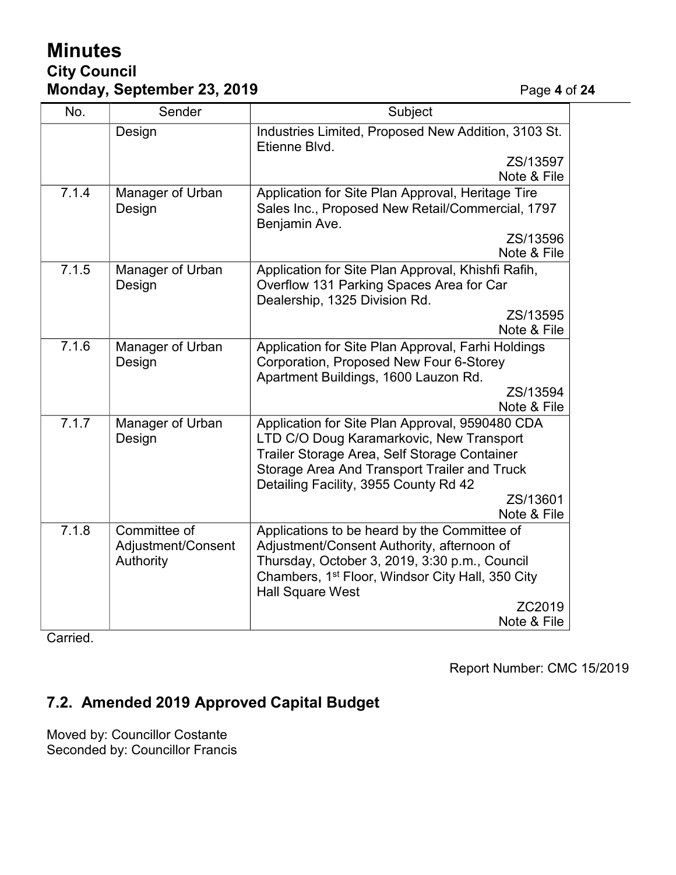# **Minutes City Council Monday, September 23, 2019 Page 4** of 24

| No.                       | Sender             | Subject                                                                                  |  |
|---------------------------|--------------------|------------------------------------------------------------------------------------------|--|
|                           | Design             | Industries Limited, Proposed New Addition, 3103 St.<br>Etienne Blvd.                     |  |
|                           |                    | ZS/13597                                                                                 |  |
|                           |                    | Note & File                                                                              |  |
| 7.1.4                     | Manager of Urban   | Application for Site Plan Approval, Heritage Tire                                        |  |
|                           | Design             | Sales Inc., Proposed New Retail/Commercial, 1797<br>Benjamin Ave.                        |  |
|                           |                    | ZS/13596                                                                                 |  |
|                           |                    | Note & File                                                                              |  |
| 7.1.5<br>Manager of Urban |                    | Application for Site Plan Approval, Khishfi Rafih,                                       |  |
|                           | Design             | Overflow 131 Parking Spaces Area for Car                                                 |  |
|                           |                    | Dealership, 1325 Division Rd.                                                            |  |
|                           |                    | ZS/13595                                                                                 |  |
|                           |                    | Note & File                                                                              |  |
| 7.1.6                     | Manager of Urban   | Application for Site Plan Approval, Farhi Holdings                                       |  |
|                           | Design             | Corporation, Proposed New Four 6-Storey<br>Apartment Buildings, 1600 Lauzon Rd.          |  |
|                           |                    | ZS/13594                                                                                 |  |
|                           |                    | Note & File                                                                              |  |
| 7.1.7                     | Manager of Urban   | Application for Site Plan Approval, 9590480 CDA                                          |  |
|                           | Design             | LTD C/O Doug Karamarkovic, New Transport<br>Trailer Storage Area, Self Storage Container |  |
|                           |                    |                                                                                          |  |
|                           |                    | Storage Area And Transport Trailer and Truck                                             |  |
|                           |                    | Detailing Facility, 3955 County Rd 42                                                    |  |
|                           |                    | ZS/13601                                                                                 |  |
|                           |                    | Note & File                                                                              |  |
| 7.1.8                     | Committee of       | Applications to be heard by the Committee of                                             |  |
|                           | Adjustment/Consent | Adjustment/Consent Authority, afternoon of                                               |  |
|                           | Authority          | Thursday, October 3, 2019, 3:30 p.m., Council                                            |  |
|                           |                    | Chambers, 1 <sup>st</sup> Floor, Windsor City Hall, 350 City                             |  |
|                           |                    | <b>Hall Square West</b><br>ZC2019                                                        |  |
|                           |                    | Note & File                                                                              |  |
|                           |                    |                                                                                          |  |

Carried.

Report Number: CMC 15/2019

# **7.2. Amended 2019 Approved Capital Budget**

Moved by: Councillor Costante Seconded by: Councillor Francis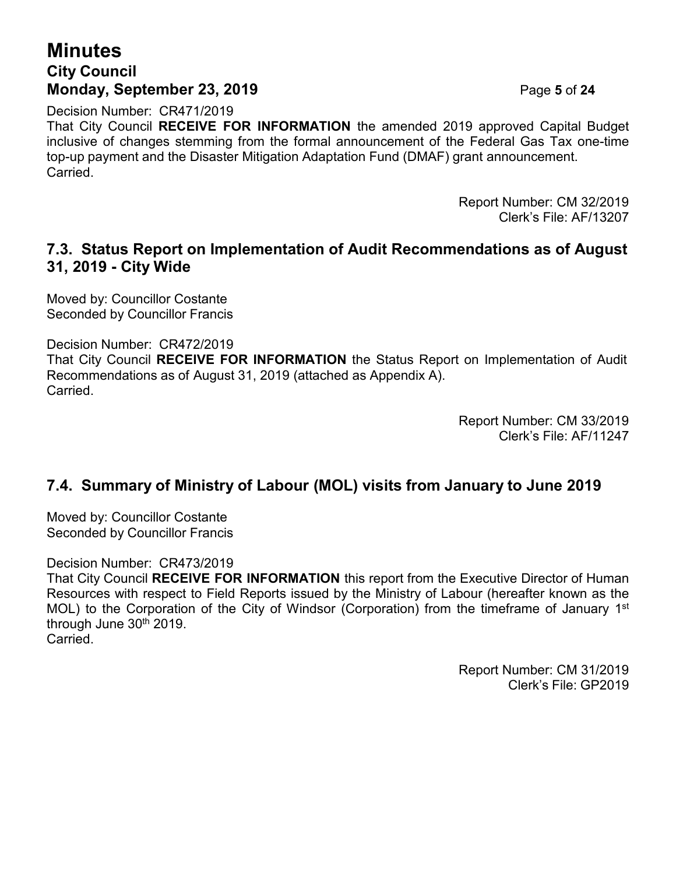# **Minutes City Council Monday, September 23, 2019** Page **5** of **24**

Decision Number: CR471/2019

That City Council **RECEIVE FOR INFORMATION** the amended 2019 approved Capital Budget inclusive of changes stemming from the formal announcement of the Federal Gas Tax one-time top-up payment and the Disaster Mitigation Adaptation Fund (DMAF) grant announcement. **Carried** 

> Report Number: CM 32/2019 Clerk's File: AF/13207

## **7.3. Status Report on Implementation of Audit Recommendations as of August 31, 2019 - City Wide**

Moved by: Councillor Costante Seconded by Councillor Francis

Decision Number: CR472/2019 That City Council **RECEIVE FOR INFORMATION** the Status Report on Implementation of Audit Recommendations as of August 31, 2019 (attached as Appendix A). Carried.

> Report Number: CM 33/2019 Clerk's File: AF/11247

# **7.4. Summary of Ministry of Labour (MOL) visits from January to June 2019**

Moved by: Councillor Costante Seconded by Councillor Francis

Decision Number: CR473/2019

That City Council **RECEIVE FOR INFORMATION** this report from the Executive Director of Human Resources with respect to Field Reports issued by the Ministry of Labour (hereafter known as the MOL) to the Corporation of the City of Windsor (Corporation) from the timeframe of January 1<sup>st</sup> through June 30<sup>th</sup> 2019. Carried.

> Report Number: CM 31/2019 Clerk's File: GP2019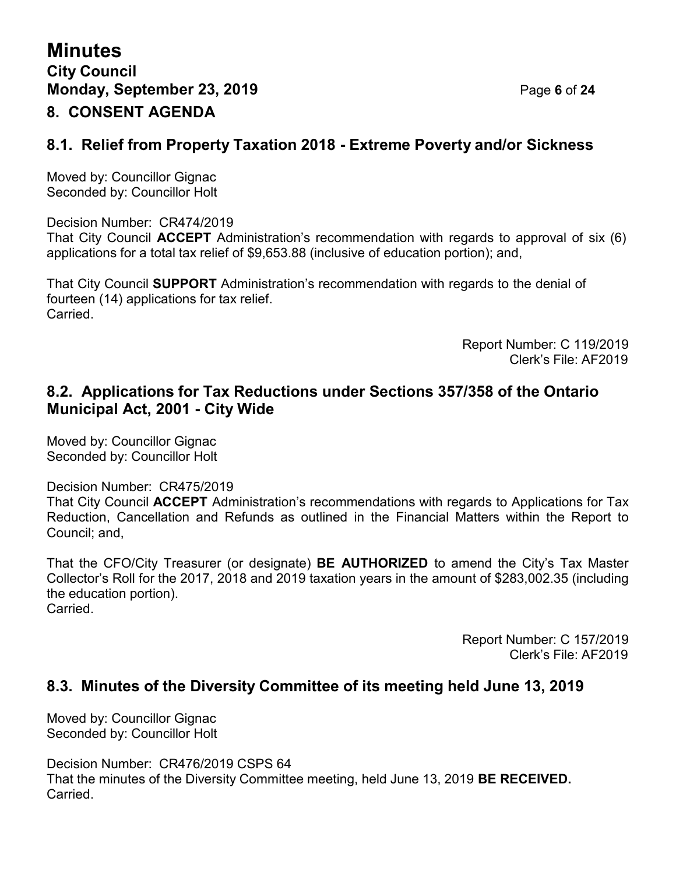**Minutes City Council Monday, September 23, 2019** Page **6** of **24 8. CONSENT AGENDA**

## **8.1. Relief from Property Taxation 2018 - Extreme Poverty and/or Sickness**

Moved by: Councillor Gignac Seconded by: Councillor Holt

Decision Number: CR474/2019

That City Council **ACCEPT** Administration's recommendation with regards to approval of six (6) applications for a total tax relief of \$9,653.88 (inclusive of education portion); and,

That City Council **SUPPORT** Administration's recommendation with regards to the denial of fourteen (14) applications for tax relief. Carried.

> Report Number: C 119/2019 Clerk's File: AF2019

## **8.2. Applications for Tax Reductions under Sections 357/358 of the Ontario Municipal Act, 2001 - City Wide**

Moved by: Councillor Gignac Seconded by: Councillor Holt

Decision Number: CR475/2019

That City Council **ACCEPT** Administration's recommendations with regards to Applications for Tax Reduction, Cancellation and Refunds as outlined in the Financial Matters within the Report to Council; and,

That the CFO/City Treasurer (or designate) **BE AUTHORIZED** to amend the City's Tax Master Collector's Roll for the 2017, 2018 and 2019 taxation years in the amount of \$283,002.35 (including the education portion). Carried.

> Report Number: C 157/2019 Clerk's File: AF2019

## **8.3. Minutes of the Diversity Committee of its meeting held June 13, 2019**

Moved by: Councillor Gignac Seconded by: Councillor Holt

Decision Number: CR476/2019 CSPS 64 That the minutes of the Diversity Committee meeting, held June 13, 2019 **BE RECEIVED. Carried**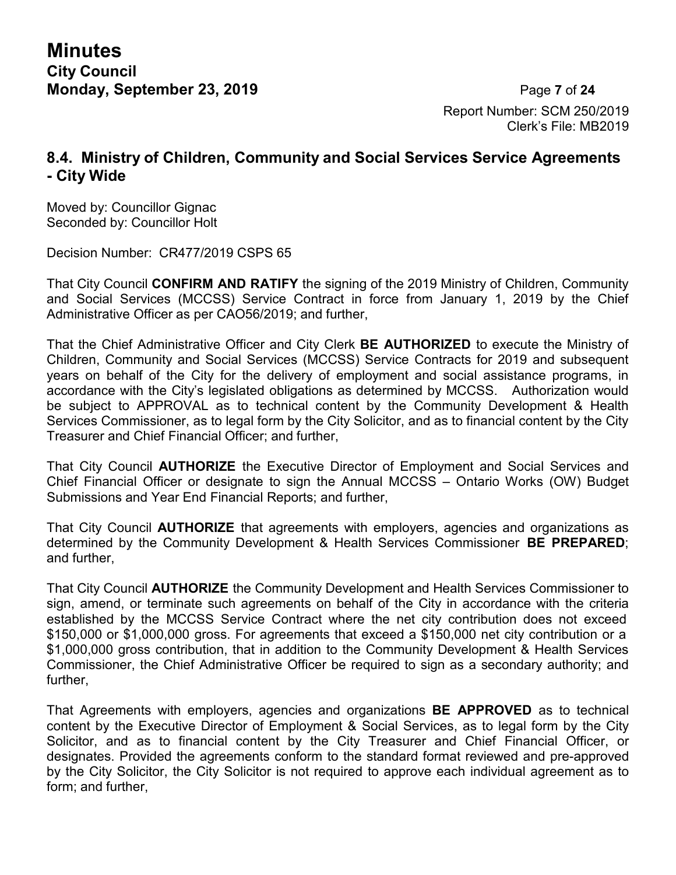**Minutes City Council Monday, September 23, 2019** Page **7** of **24**

Report Number: SCM 250/2019 Clerk's File: MB2019

## **8.4. Ministry of Children, Community and Social Services Service Agreements - City Wide**

Moved by: Councillor Gignac Seconded by: Councillor Holt

Decision Number: CR477/2019 CSPS 65

That City Council **CONFIRM AND RATIFY** the signing of the 2019 Ministry of Children, Community and Social Services (MCCSS) Service Contract in force from January 1, 2019 by the Chief Administrative Officer as per CAO56/2019; and further,

That the Chief Administrative Officer and City Clerk **BE AUTHORIZED** to execute the Ministry of Children, Community and Social Services (MCCSS) Service Contracts for 2019 and subsequent years on behalf of the City for the delivery of employment and social assistance programs, in accordance with the City's legislated obligations as determined by MCCSS. Authorization would be subject to APPROVAL as to technical content by the Community Development & Health Services Commissioner, as to legal form by the City Solicitor, and as to financial content by the City Treasurer and Chief Financial Officer; and further,

That City Council **AUTHORIZE** the Executive Director of Employment and Social Services and Chief Financial Officer or designate to sign the Annual MCCSS – Ontario Works (OW) Budget Submissions and Year End Financial Reports; and further,

That City Council **AUTHORIZE** that agreements with employers, agencies and organizations as determined by the Community Development & Health Services Commissioner **BE PREPARED**; and further,

That City Council **AUTHORIZE** the Community Development and Health Services Commissioner to sign, amend, or terminate such agreements on behalf of the City in accordance with the criteria established by the MCCSS Service Contract where the net city contribution does not exceed \$150,000 or \$1,000,000 gross. For agreements that exceed a \$150,000 net city contribution or a \$1,000,000 gross contribution, that in addition to the Community Development & Health Services Commissioner, the Chief Administrative Officer be required to sign as a secondary authority; and further,

That Agreements with employers, agencies and organizations **BE APPROVED** as to technical content by the Executive Director of Employment & Social Services, as to legal form by the City Solicitor, and as to financial content by the City Treasurer and Chief Financial Officer, or designates. Provided the agreements conform to the standard format reviewed and pre-approved by the City Solicitor, the City Solicitor is not required to approve each individual agreement as to form; and further,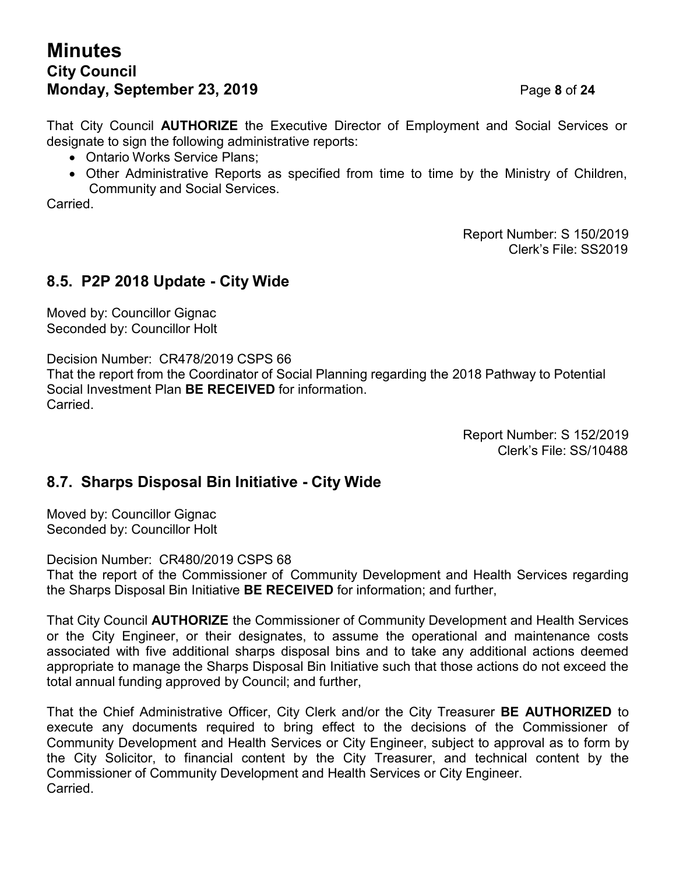# **Minutes City Council Monday, September 23, 2019** Page **8** of **24**

That City Council **AUTHORIZE** the Executive Director of Employment and Social Services or designate to sign the following administrative reports:

- Ontario Works Service Plans:
- Other Administrative Reports as specified from time to time by the Ministry of Children, Community and Social Services.

Carried.

Report Number: S 150/2019 Clerk's File: SS2019

## **8.5. P2P 2018 Update - City Wide**

Moved by: Councillor Gignac Seconded by: Councillor Holt

Decision Number: CR478/2019 CSPS 66 That the report from the Coordinator of Social Planning regarding the 2018 Pathway to Potential Social Investment Plan **BE RECEIVED** for information. Carried.

> Report Number: S 152/2019 Clerk's File: SS/10488

## **8.7. Sharps Disposal Bin Initiative - City Wide**

Moved by: Councillor Gignac Seconded by: Councillor Holt

Decision Number: CR480/2019 CSPS 68

That the report of the Commissioner of Community Development and Health Services regarding the Sharps Disposal Bin Initiative **BE RECEIVED** for information; and further,

That City Council **AUTHORIZE** the Commissioner of Community Development and Health Services or the City Engineer, or their designates, to assume the operational and maintenance costs associated with five additional sharps disposal bins and to take any additional actions deemed appropriate to manage the Sharps Disposal Bin Initiative such that those actions do not exceed the total annual funding approved by Council; and further,

That the Chief Administrative Officer, City Clerk and/or the City Treasurer **BE AUTHORIZED** to execute any documents required to bring effect to the decisions of the Commissioner of Community Development and Health Services or City Engineer, subject to approval as to form by the City Solicitor, to financial content by the City Treasurer, and technical content by the Commissioner of Community Development and Health Services or City Engineer. Carried.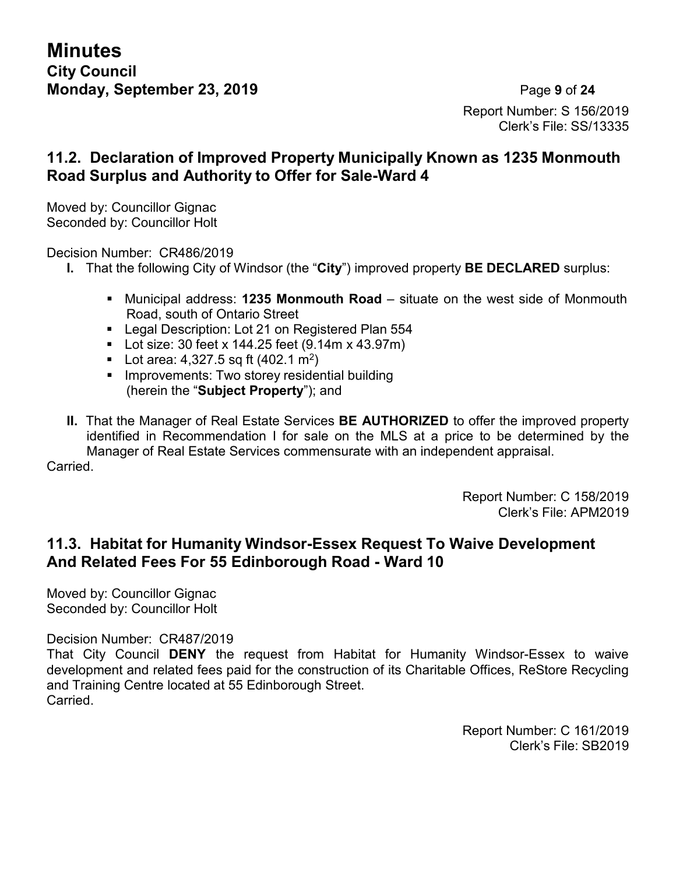**Minutes City Council Monday, September 23, 2019** Page **9** of **24**

Report Number: S 156/2019

Clerk's File: SS/13335

## **11.2. Declaration of Improved Property Municipally Known as 1235 Monmouth Road Surplus and Authority to Offer for Sale-Ward 4**

Moved by: Councillor Gignac Seconded by: Councillor Holt

Decision Number: CR486/2019

- **I.** That the following City of Windsor (the "**City**") improved property **BE DECLARED** surplus:
	- Municipal address: **1235 Monmouth Road** situate on the west side of Monmouth Road, south of Ontario Street
	- **E** Legal Description: Lot 21 on Registered Plan 554
	- **•** Lot size: 30 feet x 144.25 feet  $(9.14m \times 43.97m)$
	- **•** Lot area: 4,327.5 sq ft (402.1 m<sup>2</sup>)
	- Improvements: Two storey residential building (herein the "**Subject Property**"); and
- **II.** That the Manager of Real Estate Services **BE AUTHORIZED** to offer the improved property identified in Recommendation I for sale on the MLS at a price to be determined by the Manager of Real Estate Services commensurate with an independent appraisal.

Carried.

Report Number: C 158/2019 Clerk's File: APM2019

## **11.3. Habitat for Humanity Windsor-Essex Request To Waive Development And Related Fees For 55 Edinborough Road - Ward 10**

Moved by: Councillor Gignac Seconded by: Councillor Holt

Decision Number: CR487/2019

That City Council **DENY** the request from Habitat for Humanity Windsor-Essex to waive development and related fees paid for the construction of its Charitable Offices, ReStore Recycling and Training Centre located at 55 Edinborough Street. Carried.

> Report Number: C 161/2019 Clerk's File: SB2019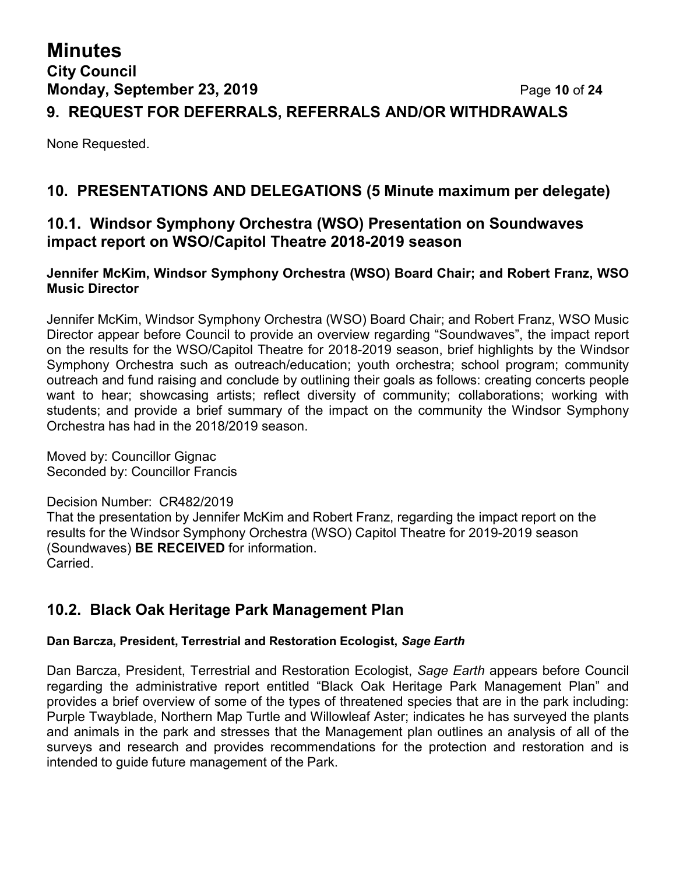# **Minutes City Council Monday, September 23, 2019 Page 10 of 24 9. REQUEST FOR DEFERRALS, REFERRALS AND/OR WITHDRAWALS**

None Requested.

# **10. PRESENTATIONS AND DELEGATIONS (5 Minute maximum per delegate)**

## **10.1. Windsor Symphony Orchestra (WSO) Presentation on Soundwaves impact report on WSO/Capitol Theatre 2018-2019 season**

### **Jennifer McKim, Windsor Symphony Orchestra (WSO) Board Chair; and Robert Franz, WSO Music Director**

Jennifer McKim, Windsor Symphony Orchestra (WSO) Board Chair; and Robert Franz, WSO Music Director appear before Council to provide an overview regarding "Soundwaves", the impact report on the results for the WSO/Capitol Theatre for 2018-2019 season, brief highlights by the Windsor Symphony Orchestra such as outreach/education; youth orchestra; school program; community outreach and fund raising and conclude by outlining their goals as follows: creating concerts people want to hear; showcasing artists; reflect diversity of community; collaborations; working with students; and provide a brief summary of the impact on the community the Windsor Symphony Orchestra has had in the 2018/2019 season.

Moved by: Councillor Gignac Seconded by: Councillor Francis

Decision Number: CR482/2019

That the presentation by Jennifer McKim and Robert Franz, regarding the impact report on the results for the Windsor Symphony Orchestra (WSO) Capitol Theatre for 2019-2019 season (Soundwaves) **BE RECEIVED** for information. Carried.

# **10.2. Black Oak Heritage Park Management Plan**

## **Dan Barcza, President, Terrestrial and Restoration Ecologist,** *Sage Earth*

Dan Barcza, President, Terrestrial and Restoration Ecologist, *Sage Earth* appears before Council regarding the administrative report entitled "Black Oak Heritage Park Management Plan" and provides a brief overview of some of the types of threatened species that are in the park including: Purple Twayblade, Northern Map Turtle and Willowleaf Aster; indicates he has surveyed the plants and animals in the park and stresses that the Management plan outlines an analysis of all of the surveys and research and provides recommendations for the protection and restoration and is intended to guide future management of the Park.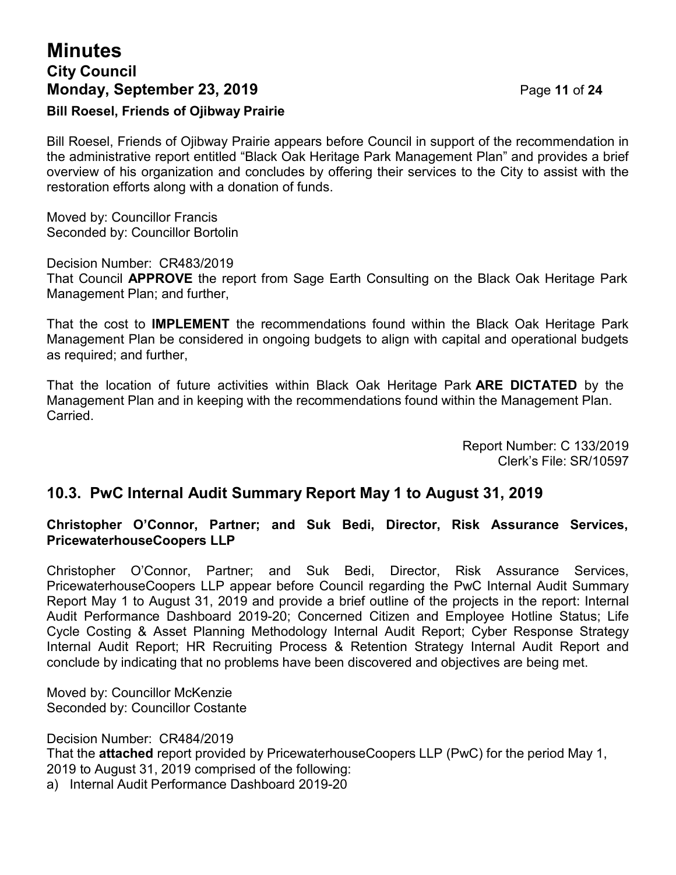# **Minutes City Council Monday, September 23, 2019 Page 11 of 24 Bill Roesel, Friends of Ojibway Prairie**

Bill Roesel, Friends of Ojibway Prairie appears before Council in support of the recommendation in the administrative report entitled "Black Oak Heritage Park Management Plan" and provides a brief overview of his organization and concludes by offering their services to the City to assist with the restoration efforts along with a donation of funds.

Moved by: Councillor Francis Seconded by: Councillor Bortolin

Decision Number: CR483/2019 That Council **APPROVE** the report from Sage Earth Consulting on the Black Oak Heritage Park Management Plan; and further,

That the cost to **IMPLEMENT** the recommendations found within the Black Oak Heritage Park Management Plan be considered in ongoing budgets to align with capital and operational budgets as required; and further,

That the location of future activities within Black Oak Heritage Park **ARE DICTATED** by the Management Plan and in keeping with the recommendations found within the Management Plan. **Carried** 

> Report Number: C 133/2019 Clerk's File: SR/10597

## **10.3. PwC Internal Audit Summary Report May 1 to August 31, 2019**

#### **Christopher O'Connor, Partner; and Suk Bedi, Director, Risk Assurance Services, PricewaterhouseCoopers LLP**

Christopher O'Connor, Partner; and Suk Bedi, Director, Risk Assurance Services, PricewaterhouseCoopers LLP appear before Council regarding the PwC Internal Audit Summary Report May 1 to August 31, 2019 and provide a brief outline of the projects in the report: Internal Audit Performance Dashboard 2019-20; Concerned Citizen and Employee Hotline Status; Life Cycle Costing & Asset Planning Methodology Internal Audit Report; Cyber Response Strategy Internal Audit Report; HR Recruiting Process & Retention Strategy Internal Audit Report and conclude by indicating that no problems have been discovered and objectives are being met.

Moved by: Councillor McKenzie Seconded by: Councillor Costante

Decision Number: CR484/2019

That the **attached** report provided by PricewaterhouseCoopers LLP (PwC) for the period May 1, 2019 to August 31, 2019 comprised of the following:

a) Internal Audit Performance Dashboard 2019-20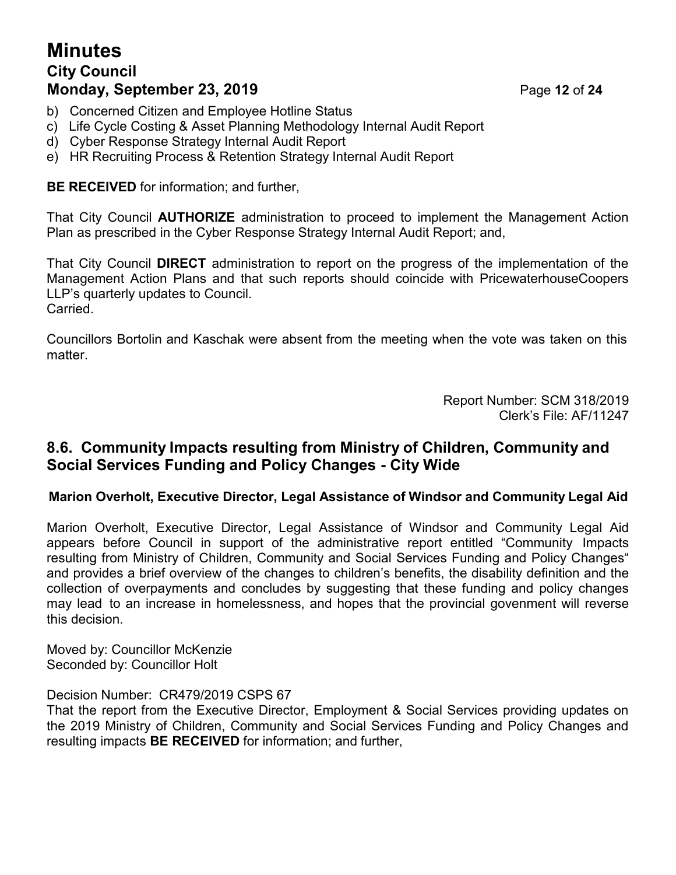# **Minutes City Council Monday, September 23, 2019 Page 12 of 24**

- b) Concerned Citizen and Employee Hotline Status
- c) Life Cycle Costing & Asset Planning Methodology Internal Audit Report
- d) Cyber Response Strategy Internal Audit Report
- e) HR Recruiting Process & Retention Strategy Internal Audit Report

**BE RECEIVED** for information; and further,

That City Council **AUTHORIZE** administration to proceed to implement the Management Action Plan as prescribed in the Cyber Response Strategy Internal Audit Report; and,

That City Council **DIRECT** administration to report on the progress of the implementation of the Management Action Plans and that such reports should coincide with PricewaterhouseCoopers LLP's quarterly updates to Council. Carried.

Councillors Bortolin and Kaschak were absent from the meeting when the vote was taken on this matter.

> Report Number: SCM 318/2019 Clerk's File: AF/11247

## **8.6. Community Impacts resulting from Ministry of Children, Community and Social Services Funding and Policy Changes - City Wide**

## **Marion Overholt, Executive Director, Legal Assistance of Windsor and Community Legal Aid**

Marion Overholt, Executive Director, Legal Assistance of Windsor and Community Legal Aid appears before Council in support of the administrative report entitled "Community Impacts resulting from Ministry of Children, Community and Social Services Funding and Policy Changes" and provides a brief overview of the changes to children's benefits, the disability definition and the collection of overpayments and concludes by suggesting that these funding and policy changes may lead to an increase in homelessness, and hopes that the provincial govenment will reverse this decision.

Moved by: Councillor McKenzie Seconded by: Councillor Holt

## Decision Number: CR479/2019 CSPS 67

That the report from the Executive Director, Employment & Social Services providing updates on the 2019 Ministry of Children, Community and Social Services Funding and Policy Changes and resulting impacts **BE RECEIVED** for information; and further,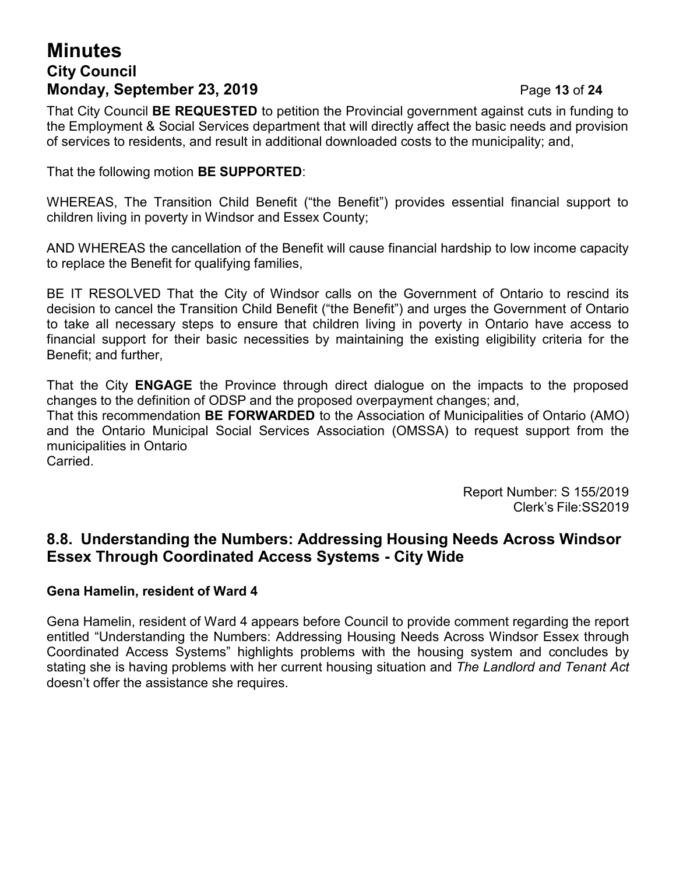# **Minutes City Council Monday, September 23, 2019 Page 13 of 24**

That City Council **BE REQUESTED** to petition the Provincial government against cuts in funding to the Employment & Social Services department that will directly affect the basic needs and provision of services to residents, and result in additional downloaded costs to the municipality; and,

That the following motion **BE SUPPORTED**:

WHEREAS, The Transition Child Benefit ("the Benefit") provides essential financial support to children living in poverty in Windsor and Essex County;

AND WHEREAS the cancellation of the Benefit will cause financial hardship to low income capacity to replace the Benefit for qualifying families,

BE IT RESOLVED That the City of Windsor calls on the Government of Ontario to rescind its decision to cancel the Transition Child Benefit ("the Benefit") and urges the Government of Ontario to take all necessary steps to ensure that children living in poverty in Ontario have access to financial support for their basic necessities by maintaining the existing eligibility criteria for the Benefit; and further,

That the City **ENGAGE** the Province through direct dialogue on the impacts to the proposed changes to the definition of ODSP and the proposed overpayment changes; and, That this recommendation **BE FORWARDED** to the Association of Municipalities of Ontario (AMO) and the Ontario Municipal Social Services Association (OMSSA) to request support from the municipalities in Ontario Carried.

> Report Number: S 155/2019 Clerk's File:SS2019

## **8.8. Understanding the Numbers: Addressing Housing Needs Across Windsor Essex Through Coordinated Access Systems - City Wide**

## **Gena Hamelin, resident of Ward 4**

Gena Hamelin, resident of Ward 4 appears before Council to provide comment regarding the report entitled "Understanding the Numbers: Addressing Housing Needs Across Windsor Essex through Coordinated Access Systems" highlights problems with the housing system and concludes by stating she is having problems with her current housing situation and *The Landlord and Tenant Act* doesn't offer the assistance she requires.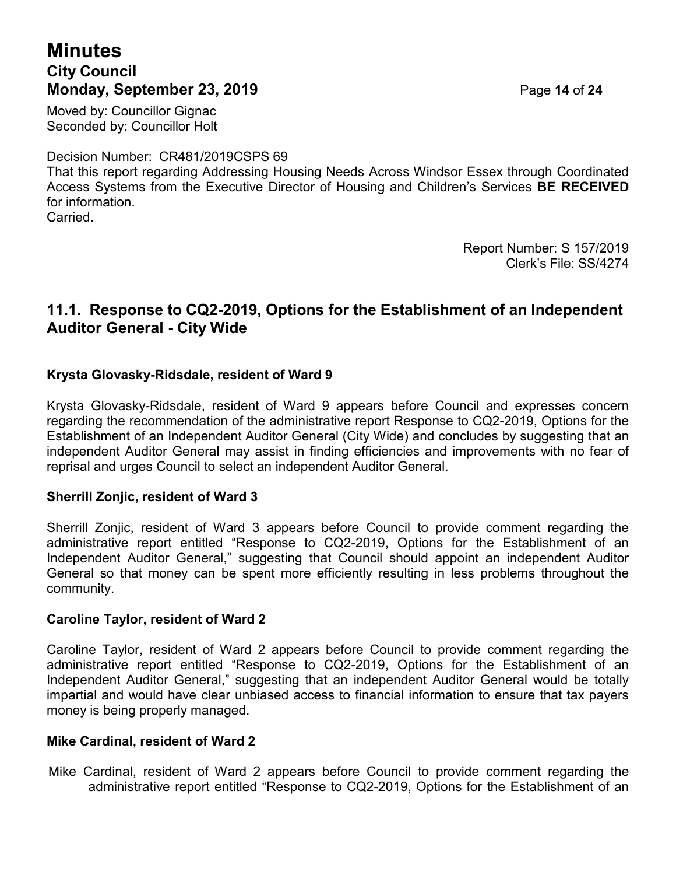# **Minutes City Council Monday, September 23, 2019** Page **14** of **24**

Moved by: Councillor Gignac Seconded by: Councillor Holt

Decision Number: CR481/2019CSPS 69

That this report regarding Addressing Housing Needs Across Windsor Essex through Coordinated Access Systems from the Executive Director of Housing and Children's Services **BE RECEIVED** for information.

Carried.

Report Number: S 157/2019 Clerk's File: SS/4274

## **11.1. Response to CQ2-2019, Options for the Establishment of an Independent Auditor General - City Wide**

#### **Krysta Glovasky-Ridsdale, resident of Ward 9**

Krysta Glovasky-Ridsdale, resident of Ward 9 appears before Council and expresses concern regarding the recommendation of the administrative report Response to CQ2-2019, Options for the Establishment of an Independent Auditor General (City Wide) and concludes by suggesting that an independent Auditor General may assist in finding efficiencies and improvements with no fear of reprisal and urges Council to select an independent Auditor General.

#### **Sherrill Zonjic, resident of Ward 3**

Sherrill Zonjic, resident of Ward 3 appears before Council to provide comment regarding the administrative report entitled "Response to CQ2-2019, Options for the Establishment of an Independent Auditor General," suggesting that Council should appoint an independent Auditor General so that money can be spent more efficiently resulting in less problems throughout the community.

#### **Caroline Taylor, resident of Ward 2**

Caroline Taylor, resident of Ward 2 appears before Council to provide comment regarding the administrative report entitled "Response to CQ2-2019, Options for the Establishment of an Independent Auditor General," suggesting that an independent Auditor General would be totally impartial and would have clear unbiased access to financial information to ensure that tax payers money is being properly managed.

#### **Mike Cardinal, resident of Ward 2**

Mike Cardinal, resident of Ward 2 appears before Council to provide comment regarding the administrative report entitled "Response to CQ2-2019, Options for the Establishment of an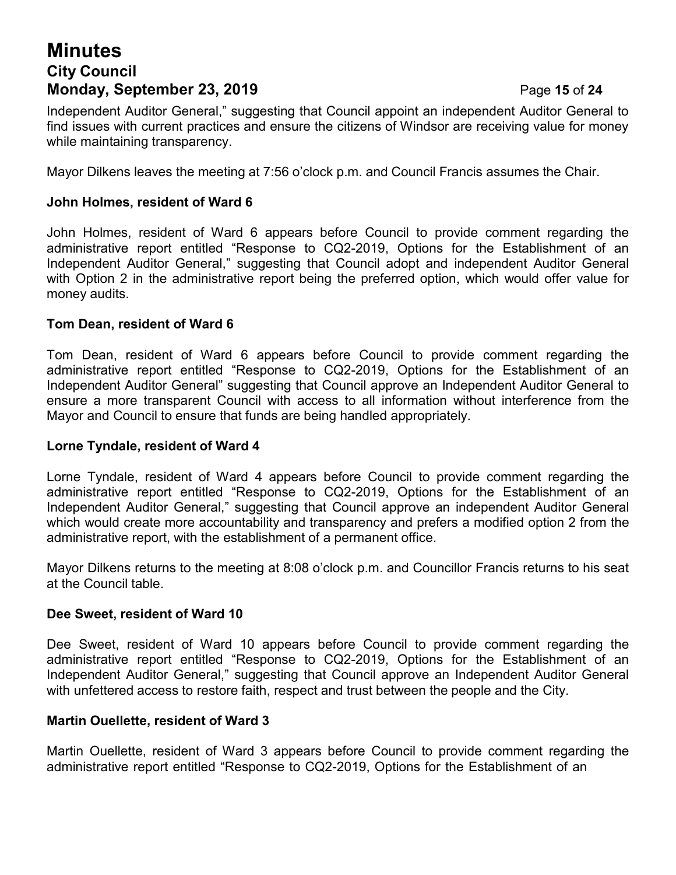# **Minutes City Council Monday, September 23, 2019 Page 15 of 24**

Independent Auditor General," suggesting that Council appoint an independent Auditor General to find issues with current practices and ensure the citizens of Windsor are receiving value for money while maintaining transparency.

Mayor Dilkens leaves the meeting at 7:56 o'clock p.m. and Council Francis assumes the Chair.

### **John Holmes, resident of Ward 6**

John Holmes, resident of Ward 6 appears before Council to provide comment regarding the administrative report entitled "Response to CQ2-2019, Options for the Establishment of an Independent Auditor General," suggesting that Council adopt and independent Auditor General with Option 2 in the administrative report being the preferred option, which would offer value for money audits.

#### **Tom Dean, resident of Ward 6**

Tom Dean, resident of Ward 6 appears before Council to provide comment regarding the administrative report entitled "Response to CQ2-2019, Options for the Establishment of an Independent Auditor General" suggesting that Council approve an Independent Auditor General to ensure a more transparent Council with access to all information without interference from the Mayor and Council to ensure that funds are being handled appropriately.

#### **Lorne Tyndale, resident of Ward 4**

Lorne Tyndale, resident of Ward 4 appears before Council to provide comment regarding the administrative report entitled "Response to CQ2-2019, Options for the Establishment of an Independent Auditor General," suggesting that Council approve an independent Auditor General which would create more accountability and transparency and prefers a modified option 2 from the administrative report, with the establishment of a permanent office.

Mayor Dilkens returns to the meeting at 8:08 o'clock p.m. and Councillor Francis returns to his seat at the Council table.

## **Dee Sweet, resident of Ward 10**

Dee Sweet, resident of Ward 10 appears before Council to provide comment regarding the administrative report entitled "Response to CQ2-2019, Options for the Establishment of an Independent Auditor General," suggesting that Council approve an Independent Auditor General with unfettered access to restore faith, respect and trust between the people and the City.

#### **Martin Ouellette, resident of Ward 3**

Martin Ouellette, resident of Ward 3 appears before Council to provide comment regarding the administrative report entitled "Response to CQ2-2019, Options for the Establishment of an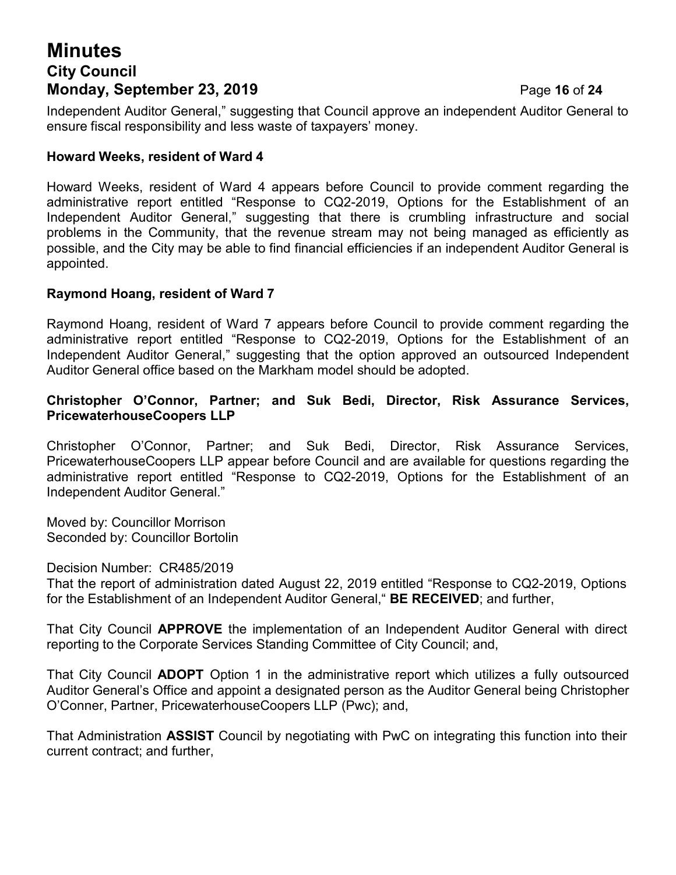# **Minutes City Council Monday, September 23, 2019** Page **16** of **24**

Independent Auditor General," suggesting that Council approve an independent Auditor General to ensure fiscal responsibility and less waste of taxpayers' money.

#### **Howard Weeks, resident of Ward 4**

Howard Weeks, resident of Ward 4 appears before Council to provide comment regarding the administrative report entitled "Response to CQ2-2019, Options for the Establishment of an Independent Auditor General," suggesting that there is crumbling infrastructure and social problems in the Community, that the revenue stream may not being managed as efficiently as possible, and the City may be able to find financial efficiencies if an independent Auditor General is appointed.

#### **Raymond Hoang, resident of Ward 7**

Raymond Hoang, resident of Ward 7 appears before Council to provide comment regarding the administrative report entitled "Response to CQ2-2019, Options for the Establishment of an Independent Auditor General," suggesting that the option approved an outsourced Independent Auditor General office based on the Markham model should be adopted.

#### **Christopher O'Connor, Partner; and Suk Bedi, Director, Risk Assurance Services, PricewaterhouseCoopers LLP**

Christopher O'Connor, Partner; and Suk Bedi, Director, Risk Assurance Services, PricewaterhouseCoopers LLP appear before Council and are available for questions regarding the administrative report entitled "Response to CQ2-2019, Options for the Establishment of an Independent Auditor General."

Moved by: Councillor Morrison Seconded by: Councillor Bortolin

Decision Number: CR485/2019

That the report of administration dated August 22, 2019 entitled "Response to CQ2-2019, Options for the Establishment of an Independent Auditor General," **BE RECEIVED**; and further,

That City Council **APPROVE** the implementation of an Independent Auditor General with direct reporting to the Corporate Services Standing Committee of City Council; and,

That City Council **ADOPT** Option 1 in the administrative report which utilizes a fully outsourced Auditor General's Office and appoint a designated person as the Auditor General being Christopher O'Conner, Partner, PricewaterhouseCoopers LLP (Pwc); and,

That Administration **ASSIST** Council by negotiating with PwC on integrating this function into their current contract; and further,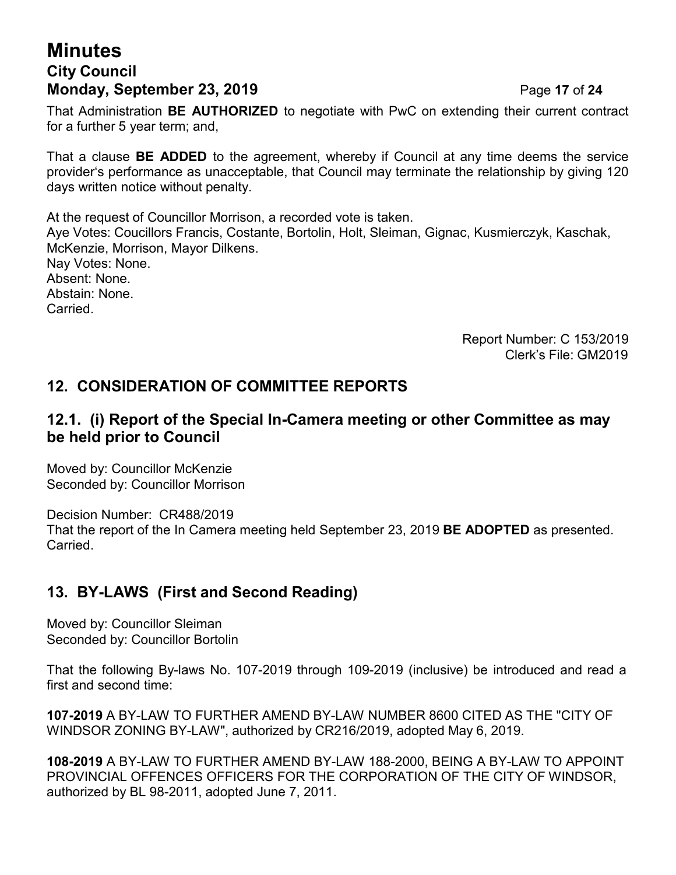# **Minutes City Council Monday, September 23, 2019 Page 17 of 24**

That Administration **BE AUTHORIZED** to negotiate with PwC on extending their current contract for a further 5 year term; and,

That a clause **BE ADDED** to the agreement, whereby if Council at any time deems the service provider's performance as unacceptable, that Council may terminate the relationship by giving 120 days written notice without penalty.

At the request of Councillor Morrison, a recorded vote is taken. Aye Votes: Coucillors Francis, Costante, Bortolin, Holt, Sleiman, Gignac, Kusmierczyk, Kaschak, McKenzie, Morrison, Mayor Dilkens. Nay Votes: None. Absent: None. Abstain: None. **Carried** 

> Report Number: C 153/2019 Clerk's File: GM2019

## **12. CONSIDERATION OF COMMITTEE REPORTS**

## **12.1. (i) Report of the Special In-Camera meeting or other Committee as may be held prior to Council**

Moved by: Councillor McKenzie Seconded by: Councillor Morrison

Decision Number: CR488/2019

That the report of the In Camera meeting held September 23, 2019 **BE ADOPTED** as presented. Carried.

# **13. BY-LAWS (First and Second Reading)**

Moved by: Councillor Sleiman Seconded by: Councillor Bortolin

That the following By-laws No. 107-2019 through 109-2019 (inclusive) be introduced and read a first and second time:

**107-2019** A BY-LAW TO FURTHER AMEND BY-LAW NUMBER 8600 CITED AS THE "CITY OF WINDSOR ZONING BY-LAW", authorized by CR216/2019, adopted May 6, 2019.

**108-2019** A BY-LAW TO FURTHER AMEND BY-LAW 188-2000, BEING A BY-LAW TO APPOINT PROVINCIAL OFFENCES OFFICERS FOR THE CORPORATION OF THE CITY OF WINDSOR, authorized by BL 98-2011, adopted June 7, 2011.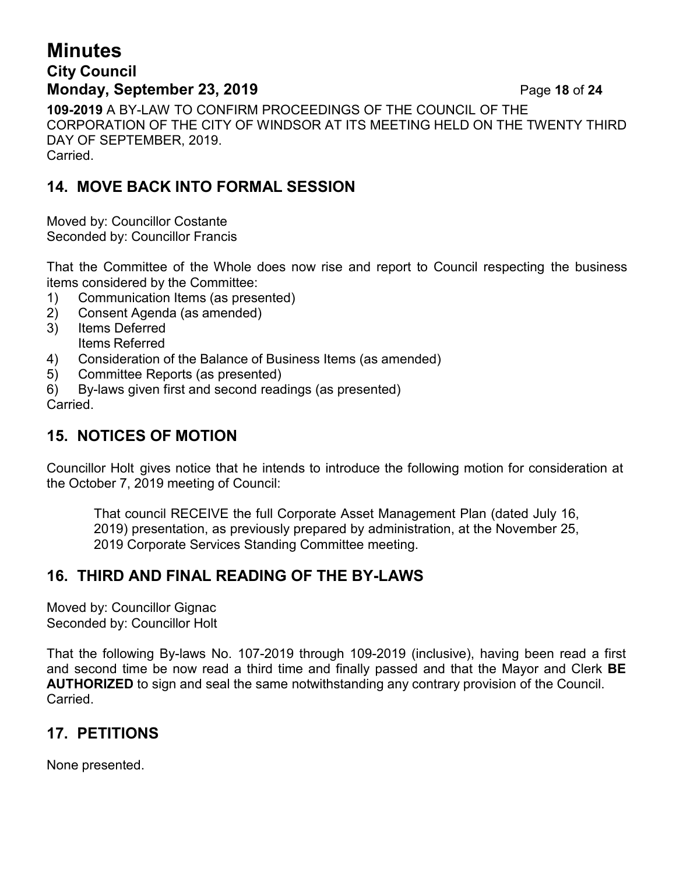# **Minutes**

## **City Council Monday, September 23, 2019** Page **18** of **24**

**109-2019** A BY-LAW TO CONFIRM PROCEEDINGS OF THE COUNCIL OF THE CORPORATION OF THE CITY OF WINDSOR AT ITS MEETING HELD ON THE TWENTY THIRD DAY OF SEPTEMBER, 2019. **Carried** 

# **14. MOVE BACK INTO FORMAL SESSION**

Moved by: Councillor Costante Seconded by: Councillor Francis

That the Committee of the Whole does now rise and report to Council respecting the business items considered by the Committee:

- 1) Communication Items (as presented)
- 2) Consent Agenda (as amended)
- 3) Items Deferred Items Referred
- 4) Consideration of the Balance of Business Items (as amended)
- 5) Committee Reports (as presented)
- 6) By-laws given first and second readings (as presented)

Carried.

# **15. NOTICES OF MOTION**

Councillor Holt gives notice that he intends to introduce the following motion for consideration at the October 7, 2019 meeting of Council:

That council RECEIVE the full Corporate Asset Management Plan (dated July 16, 2019) presentation, as previously prepared by administration, at the November 25, 2019 Corporate Services Standing Committee meeting.

# **16. THIRD AND FINAL READING OF THE BY-LAWS**

Moved by: Councillor Gignac Seconded by: Councillor Holt

That the following By-laws No. 107-2019 through 109-2019 (inclusive), having been read a first and second time be now read a third time and finally passed and that the Mayor and Clerk **BE AUTHORIZED** to sign and seal the same notwithstanding any contrary provision of the Council. Carried.

# **17. PETITIONS**

None presented.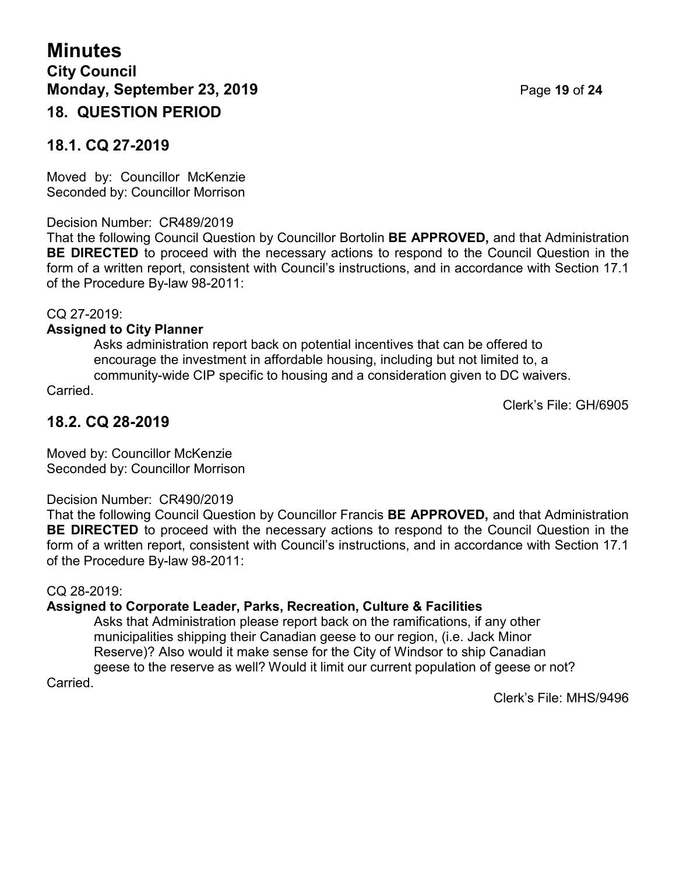# **Minutes City Council Monday, September 23, 2019 Page 19 of 24 18. QUESTION PERIOD**

# **18.1. CQ 27-2019**

Moved by: Councillor McKenzie Seconded by: Councillor Morrison

Decision Number: CR489/2019

That the following Council Question by Councillor Bortolin **BE APPROVED,** and that Administration **BE DIRECTED** to proceed with the necessary actions to respond to the Council Question in the form of a written report, consistent with Council's instructions, and in accordance with Section 17.1 of the Procedure By-law 98-2011:

## CQ 27-2019:

#### **Assigned to City Planner**

Asks administration report back on potential incentives that can be offered to encourage the investment in affordable housing, including but not limited to, a community-wide CIP specific to housing and a consideration given to DC waivers.

Carried.

Clerk's File: GH/6905

## **18.2. CQ 28-2019**

Moved by: Councillor McKenzie Seconded by: Councillor Morrison

## Decision Number: CR490/2019

That the following Council Question by Councillor Francis **BE APPROVED,** and that Administration **BE DIRECTED** to proceed with the necessary actions to respond to the Council Question in the form of a written report, consistent with Council's instructions, and in accordance with Section 17.1 of the Procedure By-law 98-2011:

CQ 28-2019:

## **Assigned to Corporate Leader, Parks, Recreation, Culture & Facilities**

Asks that Administration please report back on the ramifications, if any other municipalities shipping their Canadian geese to our region, (i.e. Jack Minor Reserve)? Also would it make sense for the City of Windsor to ship Canadian geese to the reserve as well? Would it limit our current population of geese or not?

Carried.

Clerk's File: MHS/9496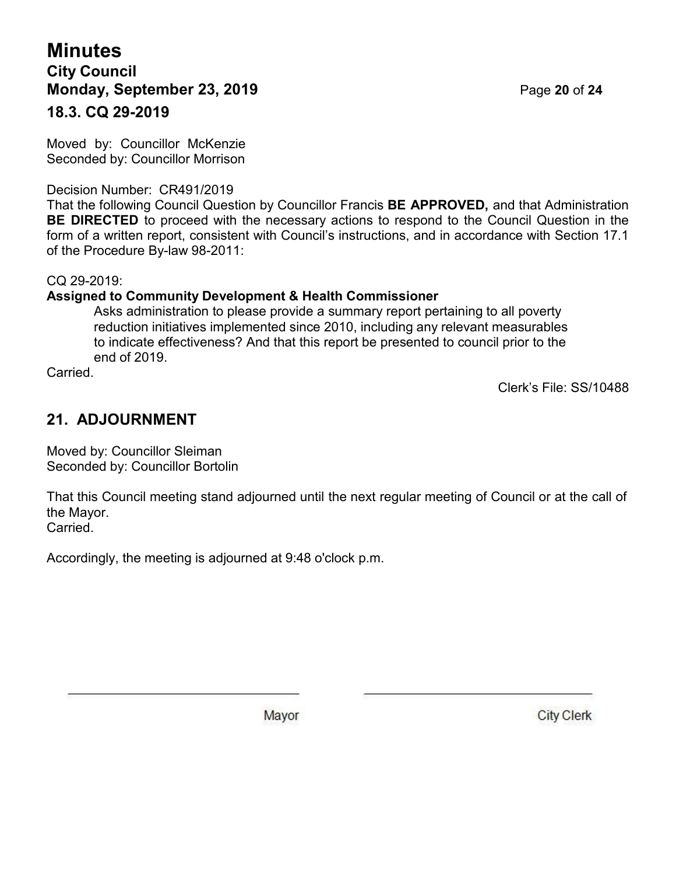# **Minutes City Council Monday, September 23, 2019 Page 20 of 24 18.3. CQ 29-2019**

Moved by: Councillor McKenzie Seconded by: Councillor Morrison

Decision Number: CR491/2019

That the following Council Question by Councillor Francis **BE APPROVED,** and that Administration **BE DIRECTED** to proceed with the necessary actions to respond to the Council Question in the form of a written report, consistent with Council's instructions, and in accordance with Section 17.1 of the Procedure By-law 98-2011:

CQ 29-2019:

## **Assigned to Community Development & Health Commissioner**

Asks administration to please provide a summary report pertaining to all poverty reduction initiatives implemented since 2010, including any relevant measurables to indicate effectiveness? And that this report be presented to council prior to the end of 2019.

Carried.

Clerk's File: SS/10488

# **21. ADJOURNMENT**

Moved by: Councillor Sleiman Seconded by: Councillor Bortolin

That this Council meeting stand adjourned until the next regular meeting of Council or at the call of the Mayor. Carried.

Accordingly, the meeting is adjourned at 9:48 o'clock p.m.

Mayor

**City Clerk**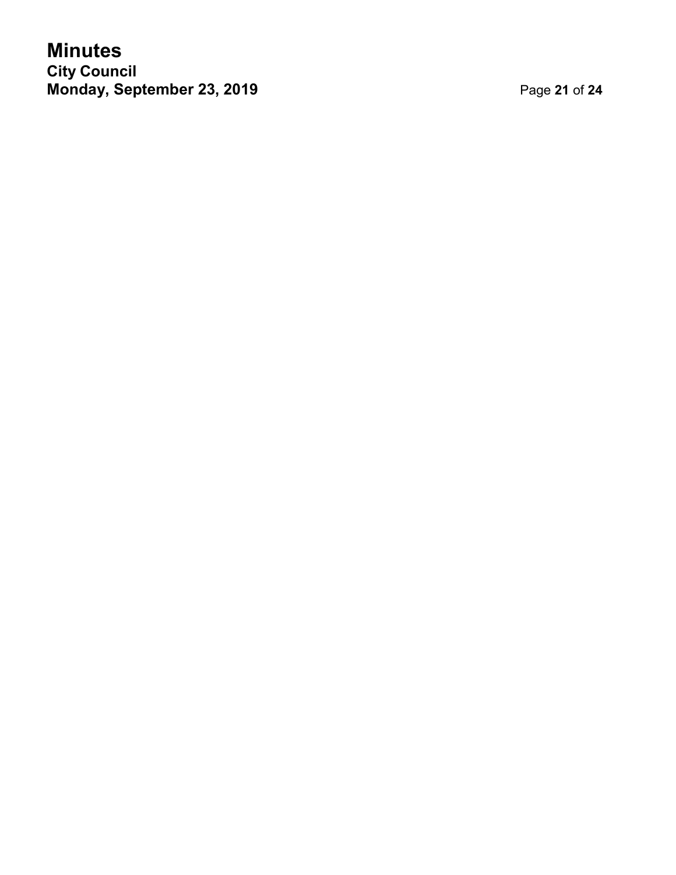# **Minutes**

**City Council Monday, September 23, 2019** Page **21** of **24**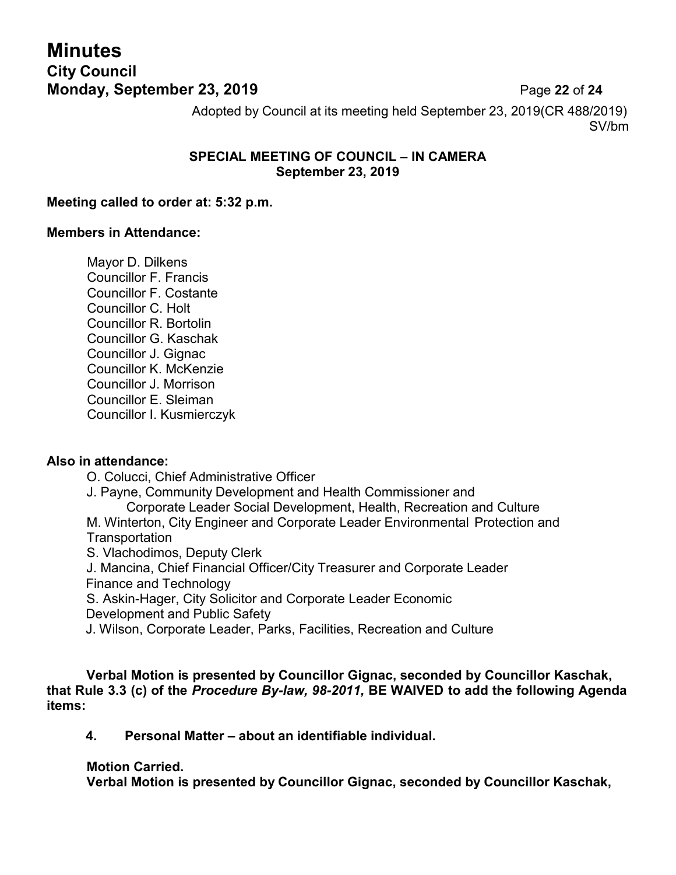# **Minutes City Council Monday, September 23, 2019 Page 22 of 24**

Adopted by Council at its meeting held September 23, 2019(CR 488/2019) SV/bm

### **SPECIAL MEETING OF COUNCIL – IN CAMERA September 23, 2019**

#### **Meeting called to order at: 5:32 p.m.**

#### **Members in Attendance:**

Mayor D. Dilkens Councillor F. Francis Councillor F. Costante Councillor C. Holt Councillor R. Bortolin Councillor G. Kaschak Councillor J. Gignac Councillor K. McKenzie Councillor J. Morrison Councillor E. Sleiman Councillor I. Kusmierczyk

#### **Also in attendance:**

O. Colucci, Chief Administrative Officer J. Payne, Community Development and Health Commissioner and Corporate Leader Social Development, Health, Recreation and Culture M. Winterton, City Engineer and Corporate Leader Environmental Protection and **Transportation** S. Vlachodimos, Deputy Clerk J. Mancina, Chief Financial Officer/City Treasurer and Corporate Leader Finance and Technology S. Askin-Hager, City Solicitor and Corporate Leader Economic Development and Public Safety J. Wilson, Corporate Leader, Parks, Facilities, Recreation and Culture

**Verbal Motion is presented by Councillor Gignac, seconded by Councillor Kaschak, that Rule 3.3 (c) of the** *Procedure By-law, 98-2011,* **BE WAIVED to add the following Agenda items:**

**4. Personal Matter – about an identifiable individual.**

#### **Motion Carried.**

**Verbal Motion is presented by Councillor Gignac, seconded by Councillor Kaschak,**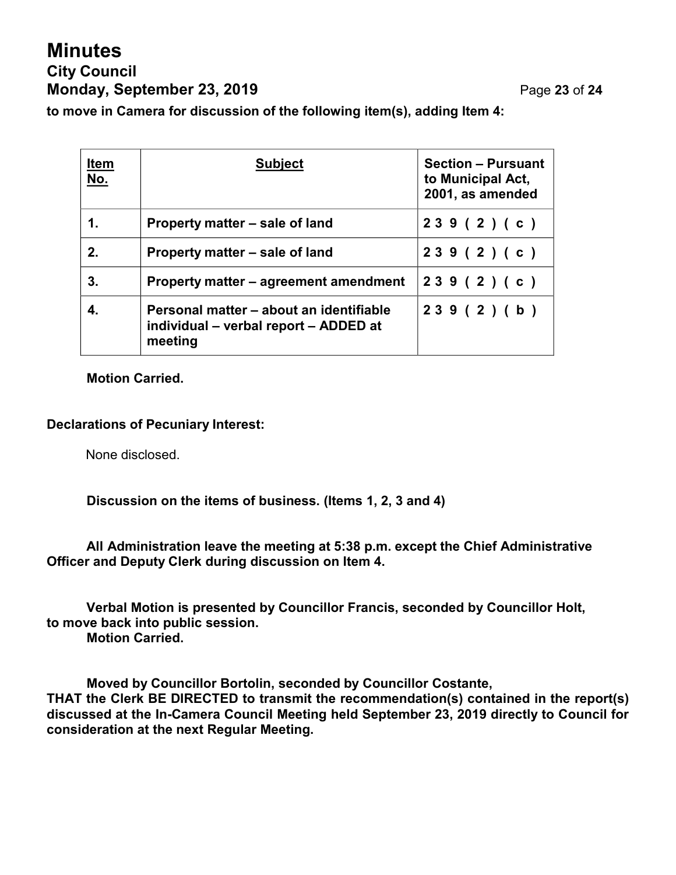# **Minutes City Council Monday, September 23, 2019 Page 23 of 24**

**to move in Camera for discussion of the following item(s), adding Item 4:**

| <u>Item</u><br><u>No.</u> | <b>Subject</b>                                                                              | <b>Section - Pursuant</b><br>to Municipal Act,<br>2001, as amended |
|---------------------------|---------------------------------------------------------------------------------------------|--------------------------------------------------------------------|
| 1.                        | Property matter – sale of land                                                              | 239(2)(c)                                                          |
| 2.                        | Property matter – sale of land                                                              | 239(2)(c)                                                          |
| 3.                        | Property matter – agreement amendment                                                       | 239(2)(c)                                                          |
|                           | Personal matter - about an identifiable<br>individual – verbal report – ADDED at<br>meeting | 239(2)(b)                                                          |

**Motion Carried.**

#### **Declarations of Pecuniary Interest:**

None disclosed.

**Discussion on the items of business. (Items 1, 2, 3 and 4)**

**All Administration leave the meeting at 5:38 p.m. except the Chief Administrative Officer and Deputy Clerk during discussion on Item 4.**

**Verbal Motion is presented by Councillor Francis, seconded by Councillor Holt, to move back into public session.**

**Motion Carried.**

**Moved by Councillor Bortolin, seconded by Councillor Costante, THAT the Clerk BE DIRECTED to transmit the recommendation(s) contained in the report(s) discussed at the In-Camera Council Meeting held September 23, 2019 directly to Council for consideration at the next Regular Meeting.**